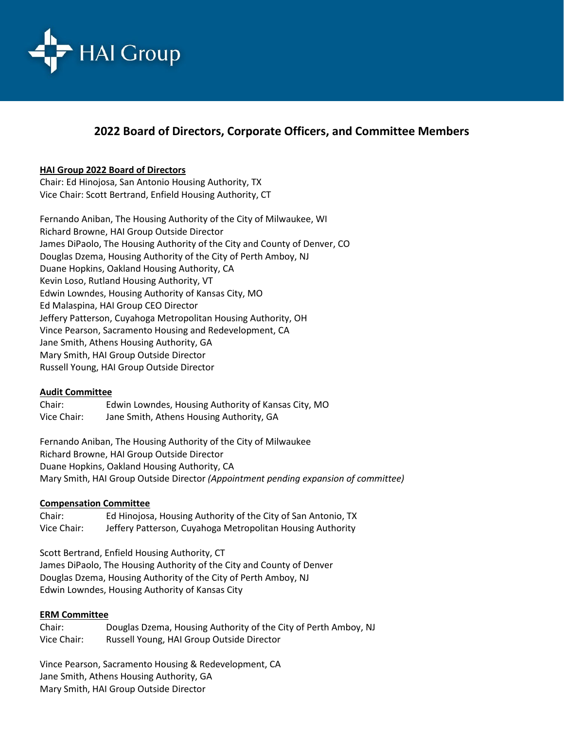

# **2022 Board of Directors, Corporate Officers, and Committee Members**

## **HAI Group 2022 Board of Directors**

Chair: Ed Hinojosa, San Antonio Housing Authority, TX Vice Chair: Scott Bertrand, Enfield Housing Authority, CT

Fernando Aniban, The Housing Authority of the City of Milwaukee, WI Richard Browne, HAI Group Outside Director James DiPaolo, The Housing Authority of the City and County of Denver, CO Douglas Dzema, Housing Authority of the City of Perth Amboy, NJ Duane Hopkins, Oakland Housing Authority, CA Kevin Loso, Rutland Housing Authority, VT Edwin Lowndes, Housing Authority of Kansas City, MO Ed Malaspina, HAI Group CEO Director Jeffery Patterson, Cuyahoga Metropolitan Housing Authority, OH Vince Pearson, Sacramento Housing and Redevelopment, CA Jane Smith, Athens Housing Authority, GA Mary Smith, HAI Group Outside Director Russell Young, HAI Group Outside Director

## **Audit Committee**

Chair: Edwin Lowndes, Housing Authority of Kansas City, MO Vice Chair: Jane Smith, Athens Housing Authority, GA

Fernando Aniban, The Housing Authority of the City of Milwaukee Richard Browne, HAI Group Outside Director Duane Hopkins, Oakland Housing Authority, CA Mary Smith, HAI Group Outside Director *(Appointment pending expansion of committee)*

## **Compensation Committee**

Chair: Ed Hinojosa, Housing Authority of the City of San Antonio, TX Vice Chair: Jeffery Patterson, Cuyahoga Metropolitan Housing Authority

Scott Bertrand, Enfield Housing Authority, CT James DiPaolo, The Housing Authority of the City and County of Denver Douglas Dzema, Housing Authority of the City of Perth Amboy, NJ Edwin Lowndes, Housing Authority of Kansas City

## **ERM Committee**

Chair: Douglas Dzema, Housing Authority of the City of Perth Amboy, NJ Vice Chair: Russell Young, HAI Group Outside Director

Vince Pearson, Sacramento Housing & Redevelopment, CA Jane Smith, Athens Housing Authority, GA Mary Smith, HAI Group Outside Director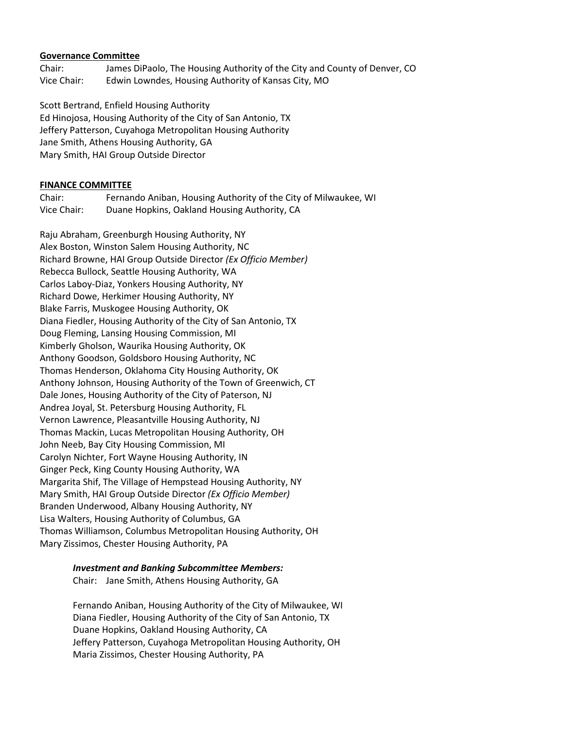### **Governance Committee**

Chair: James DiPaolo, The Housing Authority of the City and County of Denver, CO Vice Chair: Edwin Lowndes, Housing Authority of Kansas City, MO

Scott Bertrand, Enfield Housing Authority Ed Hinojosa, Housing Authority of the City of San Antonio, TX Jeffery Patterson, Cuyahoga Metropolitan Housing Authority Jane Smith, Athens Housing Authority, GA Mary Smith, HAI Group Outside Director

## **FINANCE COMMITTEE**

Chair: Fernando Aniban, Housing Authority of the City of Milwaukee, WI Vice Chair: Duane Hopkins, Oakland Housing Authority, CA

Raju Abraham, Greenburgh Housing Authority, NY Alex Boston, Winston Salem Housing Authority, NC Richard Browne, HAI Group Outside Director *(Ex Officio Member)* Rebecca Bullock, Seattle Housing Authority, WA Carlos Laboy-Diaz, Yonkers Housing Authority, NY Richard Dowe, Herkimer Housing Authority, NY Blake Farris, Muskogee Housing Authority, OK Diana Fiedler, Housing Authority of the City of San Antonio, TX Doug Fleming, Lansing Housing Commission, MI Kimberly Gholson, Waurika Housing Authority, OK Anthony Goodson, Goldsboro Housing Authority, NC Thomas Henderson, Oklahoma City Housing Authority, OK Anthony Johnson, Housing Authority of the Town of Greenwich, CT Dale Jones, Housing Authority of the City of Paterson, NJ Andrea Joyal, St. Petersburg Housing Authority, FL Vernon Lawrence, Pleasantville Housing Authority, NJ Thomas Mackin, Lucas Metropolitan Housing Authority, OH John Neeb, Bay City Housing Commission, MI Carolyn Nichter, Fort Wayne Housing Authority, IN Ginger Peck, King County Housing Authority, WA Margarita Shif, The Village of Hempstead Housing Authority, NY Mary Smith, HAI Group Outside Director *(Ex Officio Member)* Branden Underwood, Albany Housing Authority, NY Lisa Walters, Housing Authority of Columbus, GA Thomas Williamson, Columbus Metropolitan Housing Authority, OH Mary Zissimos, Chester Housing Authority, PA

## *Investment and Banking Subcommittee Members:*

Chair: Jane Smith, Athens Housing Authority, GA

Fernando Aniban, Housing Authority of the City of Milwaukee, WI Diana Fiedler, Housing Authority of the City of San Antonio, TX Duane Hopkins, Oakland Housing Authority, CA Jeffery Patterson, Cuyahoga Metropolitan Housing Authority, OH Maria Zissimos, Chester Housing Authority, PA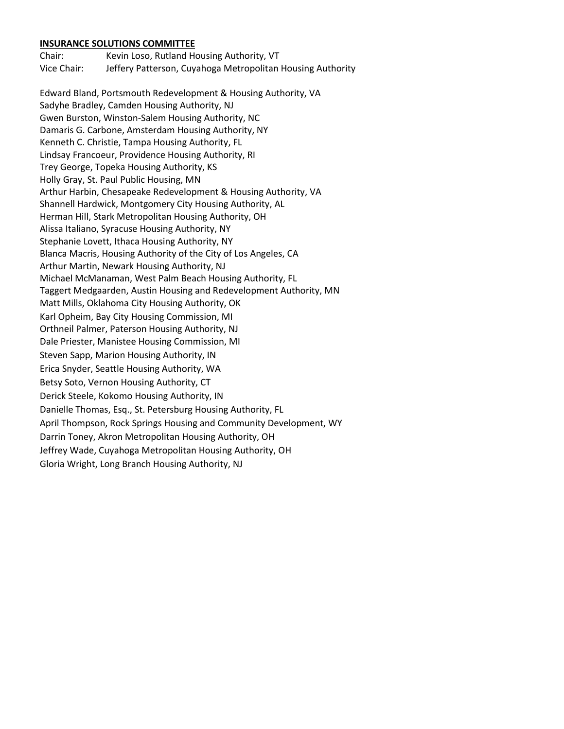#### **INSURANCE SOLUTIONS COMMITTEE**

Chair: Kevin Loso, Rutland Housing Authority, VT Vice Chair: Jeffery Patterson, Cuyahoga Metropolitan Housing Authority

Edward Bland, Portsmouth Redevelopment & Housing Authority, VA Sadyhe Bradley, Camden Housing Authority, NJ Gwen Burston, Winston-Salem Housing Authority, NC Damaris G. Carbone, Amsterdam Housing Authority, NY Kenneth C. Christie, Tampa Housing Authority, FL Lindsay Francoeur, Providence Housing Authority, RI Trey George, Topeka Housing Authority, KS Holly Gray, St. Paul Public Housing, MN Arthur Harbin, Chesapeake Redevelopment & Housing Authority, VA Shannell Hardwick, Montgomery City Housing Authority, AL Herman Hill, Stark Metropolitan Housing Authority, OH Alissa Italiano, Syracuse Housing Authority, NY Stephanie Lovett, Ithaca Housing Authority, NY Blanca Macris, Housing Authority of the City of Los Angeles, CA Arthur Martin, Newark Housing Authority, NJ Michael McManaman, West Palm Beach Housing Authority, FL Taggert Medgaarden, Austin Housing and Redevelopment Authority, MN Matt Mills, Oklahoma City Housing Authority, OK Karl Opheim, Bay City Housing Commission, MI Orthneil Palmer, Paterson Housing Authority, NJ Dale Priester, Manistee Housing Commission, MI Steven Sapp, Marion Housing Authority, IN Erica Snyder, Seattle Housing Authority, WA Betsy Soto, Vernon Housing Authority, CT Derick Steele, Kokomo Housing Authority, IN Danielle Thomas, Esq., St. Petersburg Housing Authority, FL April Thompson, Rock Springs Housing and Community Development, WY Darrin Toney, Akron Metropolitan Housing Authority, OH Jeffrey Wade, Cuyahoga Metropolitan Housing Authority, OH Gloria Wright, Long Branch Housing Authority, NJ